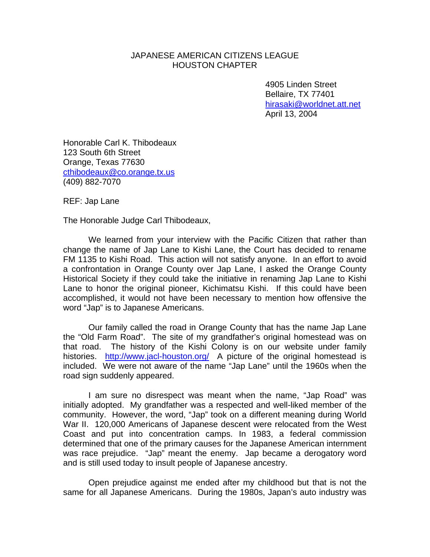## JAPANESE AMERICAN CITIZENS LEAGUE HOUSTON CHAPTER

 4905 Linden Street Bellaire, TX 77401 [hirasaki@worldnet.att.net](mailto:hirasaki@worldnet.att.net) April 13, 2004

Honorable Carl K. Thibodeaux 123 South 6th Street Orange, Texas 77630 [cthibodeaux@co.orange.tx.us](mailto:cthibodeaux@co.orange.tx.us) (409) 882-7070

REF: Jap Lane

The Honorable Judge Carl Thibodeaux,

 We learned from your interview with the Pacific Citizen that rather than change the name of Jap Lane to Kishi Lane, the Court has decided to rename FM 1135 to Kishi Road. This action will not satisfy anyone. In an effort to avoid a confrontation in Orange County over Jap Lane, I asked the Orange County Historical Society if they could take the initiative in renaming Jap Lane to Kishi Lane to honor the original pioneer, Kichimatsu Kishi. If this could have been accomplished, it would not have been necessary to mention how offensive the word "Jap" is to Japanese Americans.

 Our family called the road in Orange County that has the name Jap Lane the "Old Farm Road". The site of my grandfather's original homestead was on that road. The history of the Kishi Colony is on our website under family histories. <http://www.jacl-houston.org/>A picture of the original homestead is included. We were not aware of the name "Jap Lane" until the 1960s when the road sign suddenly appeared.

 I am sure no disrespect was meant when the name, "Jap Road" was initially adopted. My grandfather was a respected and well-liked member of the community. However, the word, "Jap" took on a different meaning during World War II. 120,000 Americans of Japanese descent were relocated from the West Coast and put into concentration camps. In 1983, a federal commission determined that one of the primary causes for the Japanese American internment was race prejudice. "Jap" meant the enemy. Jap became a derogatory word and is still used today to insult people of Japanese ancestry.

 Open prejudice against me ended after my childhood but that is not the same for all Japanese Americans. During the 1980s, Japan's auto industry was